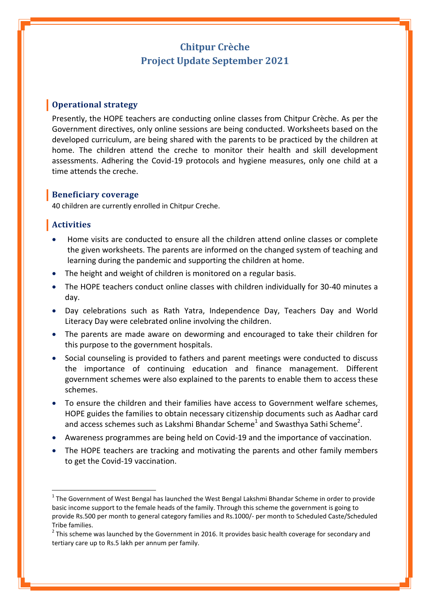# **Chitpur Crèche Project Update September 2021**

#### **Operational strategy**

Presently, the HOPE teachers are conducting online classes from Chitpur Crèche. As per the Government directives, only online sessions are being conducted. Worksheets based on the developed curriculum, are being shared with the parents to be practiced by the children at home. The children attend the creche to monitor their health and skill development assessments. Adhering the Covid-19 protocols and hygiene measures, only one child at a time attends the creche.

#### **Beneficiary coverage**

40 children are currently enrolled in Chitpur Creche.

#### **Activities**

 $\overline{a}$ 

- Home visits are conducted to ensure all the children attend online classes or complete the given worksheets. The parents are informed on the changed system of teaching and learning during the pandemic and supporting the children at home.
- The height and weight of children is monitored on a regular basis.
- The HOPE teachers conduct online classes with children individually for 30-40 minutes a day.
- Day celebrations such as Rath Yatra, Independence Day, Teachers Day and World Literacy Day were celebrated online involving the children.
- The parents are made aware on deworming and encouraged to take their children for this purpose to the government hospitals.
- Social counseling is provided to fathers and parent meetings were conducted to discuss the importance of continuing education and finance management. Different government schemes were also explained to the parents to enable them to access these schemes.
- To ensure the children and their families have access to Government welfare schemes, HOPE guides the families to obtain necessary citizenship documents such as Aadhar card and access schemes such as Lakshmi Bhandar Scheme<sup>1</sup> and Swasthya Sathi Scheme<sup>2</sup>.
- Awareness programmes are being held on Covid-19 and the importance of vaccination.
- The HOPE teachers are tracking and motivating the parents and other family members to get the Covid-19 vaccination.

 $1$  The Government of West Bengal has launched the West Bengal Lakshmi Bhandar Scheme in order to provide basic income support to the female heads of the family. Through this scheme the government is going to provide Rs.500 per month to general category families and Rs.1000/- per month to Scheduled Caste/Scheduled Tribe families.

 $2$  This scheme was launched by the Government in 2016. It provides basic health coverage for secondary and tertiary care up to Rs.5 lakh per annum per family.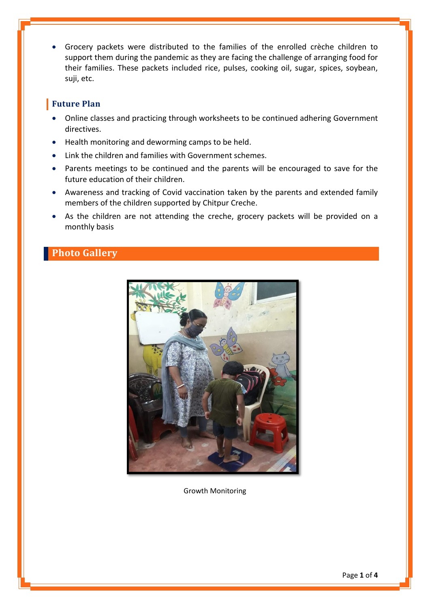Grocery packets were distributed to the families of the enrolled crèche children to support them during the pandemic as they are facing the challenge of arranging food for their families. These packets included rice, pulses, cooking oil, sugar, spices, soybean, suji, etc.

### **Future Plan**

- Online classes and practicing through worksheets to be continued adhering Government directives.
- Health monitoring and deworming camps to be held.
- Link the children and families with Government schemes.
- Parents meetings to be continued and the parents will be encouraged to save for the future education of their children.
- Awareness and tracking of Covid vaccination taken by the parents and extended family members of the children supported by Chitpur Creche.
- As the children are not attending the creche, grocery packets will be provided on a monthly basis

## **Photo Gallery**



Growth Monitoring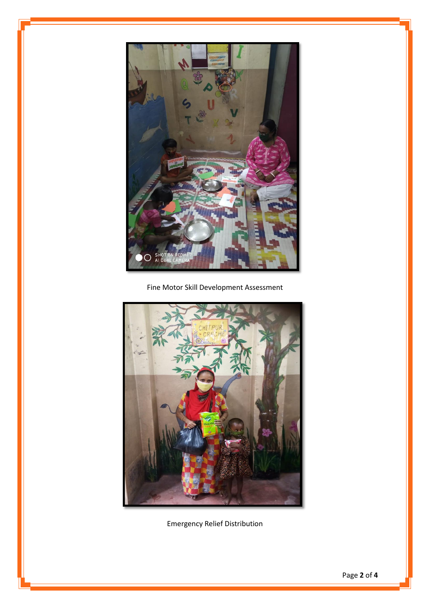

Fine Motor Skill Development Assessment



Emergency Relief Distribution